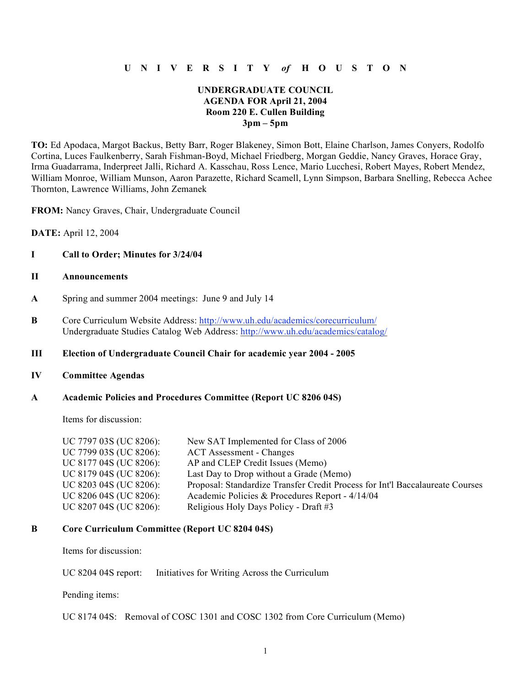# **U N I V E R S I T Y** *of* **H O U S T O N**

## **UNDERGRADUATE COUNCIL AGENDA FOR April 21, 2004 Room 220 E. Cullen Building 3pm – 5pm**

**TO:** Ed Apodaca, Margot Backus, Betty Barr, Roger Blakeney, Simon Bott, Elaine Charlson, James Conyers, Rodolfo Cortina, Luces Faulkenberry, Sarah Fishman-Boyd, Michael Friedberg, Morgan Geddie, Nancy Graves, Horace Gray, Irma Guadarrama, Inderpreet Jalli, Richard A. Kasschau, Ross Lence, Mario Lucchesi, Robert Mayes, Robert Mendez, William Monroe, William Munson, Aaron Parazette, Richard Scamell, Lynn Simpson, Barbara Snelling, Rebecca Achee Thornton, Lawrence Williams, John Zemanek

**FROM:** Nancy Graves, Chair, Undergraduate Council

**DATE:** April 12, 2004

### **I Call to Order; Minutes for 3/24/04**

## **II Announcements**

- **A** Spring and summer 2004 meetings: June 9 and July 14
- **B** Core Curriculum Website Address: http://www.uh.edu/academics/corecurriculum/ Undergraduate Studies Catalog Web Address: http://www.uh.edu/academics/catalog/

## **III Election of Undergraduate Council Chair for academic year 2004 - 2005**

#### **IV Committee Agendas**

## **A Academic Policies and Procedures Committee (Report UC 8206 04S)**

Items for discussion:

| UC 7797 03S (UC 8206): | New SAT Implemented for Class of 2006                                         |
|------------------------|-------------------------------------------------------------------------------|
| UC 7799 03S (UC 8206): | <b>ACT</b> Assessment - Changes                                               |
| UC 8177 04S (UC 8206): | AP and CLEP Credit Issues (Memo)                                              |
| UC 8179 04S (UC 8206): | Last Day to Drop without a Grade (Memo)                                       |
| UC 8203 04S (UC 8206): | Proposal: Standardize Transfer Credit Process for Int'l Baccalaureate Courses |
| UC 8206 04S (UC 8206): | Academic Policies & Procedures Report - 4/14/04                               |
| UC 8207 04S (UC 8206): | Religious Holy Days Policy - Draft #3                                         |

#### **B Core Curriculum Committee (Report UC 8204 04S)**

Items for discussion:

UC 8204 04S report: Initiatives for Writing Across the Curriculum

Pending items:

UC 8174 04S: Removal of COSC 1301 and COSC 1302 from Core Curriculum (Memo)